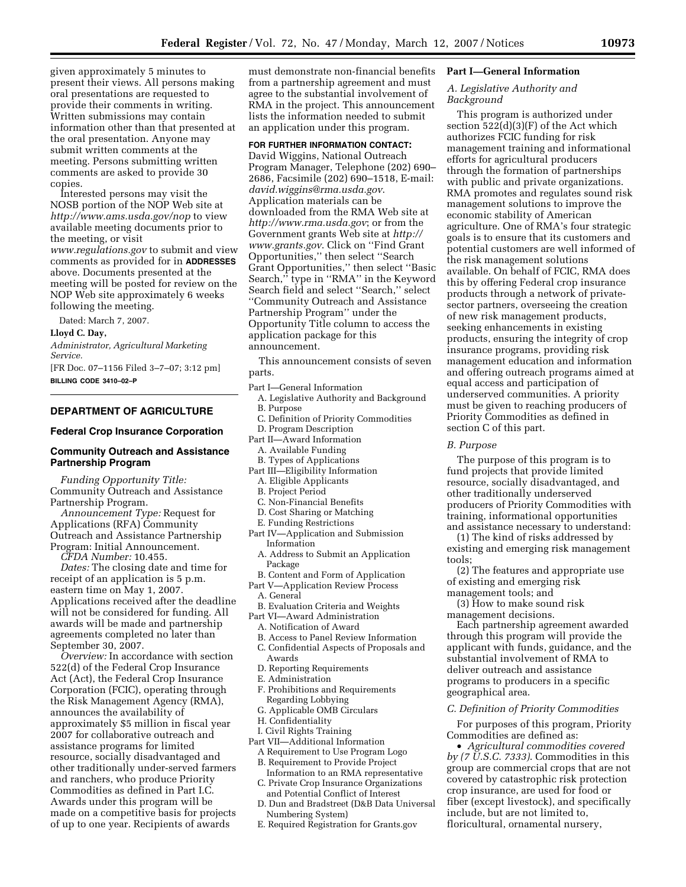given approximately 5 minutes to present their views. All persons making oral presentations are requested to provide their comments in writing. Written submissions may contain information other than that presented at the oral presentation. Anyone may submit written comments at the meeting. Persons submitting written comments are asked to provide 30 copies.

Interested persons may visit the NOSB portion of the NOP Web site at *http://www.ams.usda.gov/nop* to view available meeting documents prior to the meeting, or visit *www.regulations.gov* to submit and view comments as provided for in **ADDRESSES** above. Documents presented at the meeting will be posted for review on the NOP Web site approximately 6 weeks following the meeting.

Dated: March 7, 2007.

#### **Lloyd C. Day,**

*Administrator, Agricultural Marketing Service.* 

[FR Doc. 07–1156 Filed 3–7–07; 3:12 pm] **BILLING CODE 3410–02–P** 

# **DEPARTMENT OF AGRICULTURE**

### **Federal Crop Insurance Corporation**

### **Community Outreach and Assistance Partnership Program**

*Funding Opportunity Title:*  Community Outreach and Assistance Partnership Program.

*Announcement Type:* Request for Applications (RFA) Community Outreach and Assistance Partnership Program: Initial Announcement.

*CFDA Number:* 10.455. *Dates:* The closing date and time for receipt of an application is 5 p.m. eastern time on May 1, 2007. Applications received after the deadline will not be considered for funding. All awards will be made and partnership agreements completed no later than

September 30, 2007. *Overview:* In accordance with section 522(d) of the Federal Crop Insurance Act (Act), the Federal Crop Insurance Corporation (FCIC), operating through the Risk Management Agency (RMA), announces the availability of approximately \$5 million in fiscal year 2007 for collaborative outreach and assistance programs for limited resource, socially disadvantaged and other traditionally under-served farmers and ranchers, who produce Priority Commodities as defined in Part I.C. Awards under this program will be made on a competitive basis for projects of up to one year. Recipients of awards

must demonstrate non-financial benefits from a partnership agreement and must agree to the substantial involvement of RMA in the project. This announcement lists the information needed to submit an application under this program.

### **FOR FURTHER INFORMATION CONTACT:**

David Wiggins, National Outreach Program Manager, Telephone (202) 690– 2686, Facsimile (202) 690–1518, E-mail: *david.wiggins@rma.usda.gov*. Application materials can be downloaded from the RMA Web site at *http://www.rma.usda.gov*; or from the Government grants Web site at *http:// www.grants.gov*. Click on ''Find Grant Opportunities,'' then select ''Search Grant Opportunities,'' then select ''Basic Search,'' type in ''RMA'' in the Keyword Search field and select ''Search,'' select ''Community Outreach and Assistance Partnership Program'' under the Opportunity Title column to access the application package for this announcement.

This announcement consists of seven parts.

- Part I—General Information
- A. Legislative Authority and Background B. Purpose
- C. Definition of Priority Commodities
- D. Program Description
- Part II—Award Information
	- A. Available Funding
- B. Types of Applications Part III—Eligibility Information
	- A. Eligible Applicants
	- B. Project Period
	- C. Non-Financial Benefits
	- D. Cost Sharing or Matching
	- E. Funding Restrictions
- Part IV—Application and Submission Information
	- A. Address to Submit an Application Package
- B. Content and Form of Application
- Part V—Application Review Process
- A. General
- B. Evaluation Criteria and Weights
- Part VI—Award Administration
	- A. Notification of Award
	- B. Access to Panel Review Information C. Confidential Aspects of Proposals and
	- Awards
	- D. Reporting Requirements
	- E. Administration
	- F. Prohibitions and Requirements Regarding Lobbying
	- G. Applicable OMB Circulars
	- H. Confidentiality
	- I. Civil Rights Training
- Part VII—Additional Information
	- A Requirement to Use Program Logo B. Requirement to Provide Project
	- Information to an RMA representative C. Private Crop Insurance Organizations
	- and Potential Conflict of Interest D. Dun and Bradstreet (D&B Data Universal Numbering System)
	- E. Required Registration for Grants.gov

### **Part I—General Information**

# *A. Legislative Authority and Background*

This program is authorized under section 522(d)(3)(F) of the Act which authorizes FCIC funding for risk management training and informational efforts for agricultural producers through the formation of partnerships with public and private organizations. RMA promotes and regulates sound risk management solutions to improve the economic stability of American agriculture. One of RMA's four strategic goals is to ensure that its customers and potential customers are well informed of the risk management solutions available. On behalf of FCIC, RMA does this by offering Federal crop insurance products through a network of privatesector partners, overseeing the creation of new risk management products, seeking enhancements in existing products, ensuring the integrity of crop insurance programs, providing risk management education and information and offering outreach programs aimed at equal access and participation of underserved communities. A priority must be given to reaching producers of Priority Commodities as defined in section C of this part.

#### *B. Purpose*

The purpose of this program is to fund projects that provide limited resource, socially disadvantaged, and other traditionally underserved producers of Priority Commodities with training, informational opportunities and assistance necessary to understand:

(1) The kind of risks addressed by existing and emerging risk management tools;

(2) The features and appropriate use of existing and emerging risk

management tools; and

(3) How to make sound risk management decisions.

Each partnership agreement awarded through this program will provide the applicant with funds, guidance, and the substantial involvement of RMA to deliver outreach and assistance programs to producers in a specific geographical area.

### *C. Definition of Priority Commodities*

For purposes of this program, Priority Commodities are defined as:

• *Agricultural commodities covered by (7 U.S.C. 7333)*. Commodities in this group are commercial crops that are not covered by catastrophic risk protection crop insurance, are used for food or fiber (except livestock), and specifically include, but are not limited to, floricultural, ornamental nursery,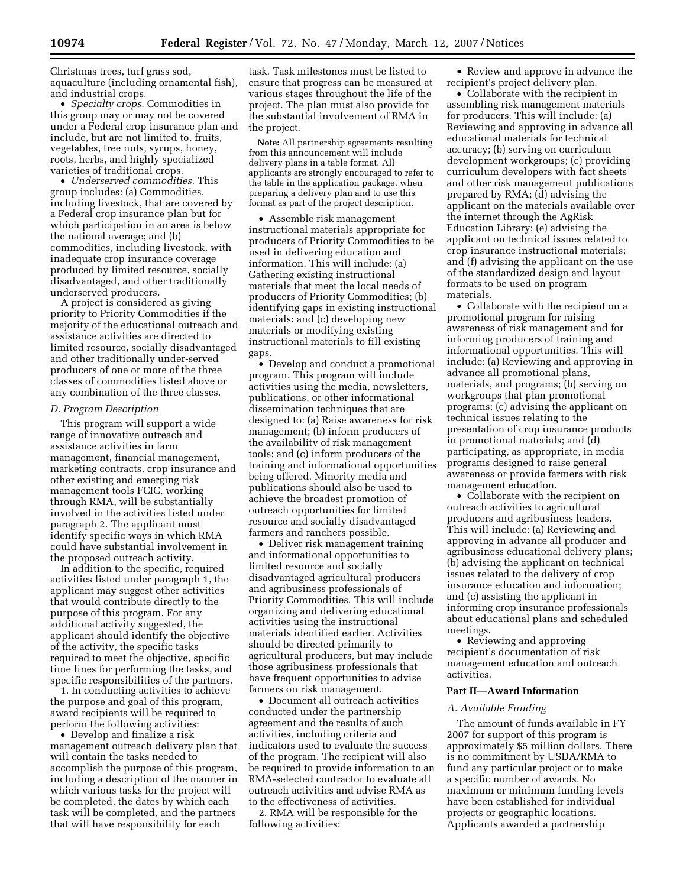Christmas trees, turf grass sod, aquaculture (including ornamental fish), and industrial crops.

• *Specialty crops*. Commodities in this group may or may not be covered under a Federal crop insurance plan and include, but are not limited to, fruits, vegetables, tree nuts, syrups, honey, roots, herbs, and highly specialized varieties of traditional crops.

• *Underserved commodities*. This group includes: (a) Commodities, including livestock, that are covered by a Federal crop insurance plan but for which participation in an area is below the national average; and (b) commodities, including livestock, with inadequate crop insurance coverage produced by limited resource, socially disadvantaged, and other traditionally underserved producers.

A project is considered as giving priority to Priority Commodities if the majority of the educational outreach and assistance activities are directed to limited resource, socially disadvantaged and other traditionally under-served producers of one or more of the three classes of commodities listed above or any combination of the three classes.

#### *D. Program Description*

This program will support a wide range of innovative outreach and assistance activities in farm management, financial management, marketing contracts, crop insurance and other existing and emerging risk management tools FCIC, working through RMA, will be substantially involved in the activities listed under paragraph 2. The applicant must identify specific ways in which RMA could have substantial involvement in the proposed outreach activity.

In addition to the specific, required activities listed under paragraph 1, the applicant may suggest other activities that would contribute directly to the purpose of this program. For any additional activity suggested, the applicant should identify the objective of the activity, the specific tasks required to meet the objective, specific time lines for performing the tasks, and specific responsibilities of the partners.

1. In conducting activities to achieve the purpose and goal of this program, award recipients will be required to perform the following activities:

• Develop and finalize a risk management outreach delivery plan that will contain the tasks needed to accomplish the purpose of this program, including a description of the manner in which various tasks for the project will be completed, the dates by which each task will be completed, and the partners that will have responsibility for each

task. Task milestones must be listed to ensure that progress can be measured at various stages throughout the life of the project. The plan must also provide for the substantial involvement of RMA in the project.

**Note:** All partnership agreements resulting from this announcement will include delivery plans in a table format. All applicants are strongly encouraged to refer to the table in the application package, when preparing a delivery plan and to use this format as part of the project description.

• Assemble risk management instructional materials appropriate for producers of Priority Commodities to be used in delivering education and information. This will include: (a) Gathering existing instructional materials that meet the local needs of producers of Priority Commodities; (b) identifying gaps in existing instructional materials; and (c) developing new materials or modifying existing instructional materials to fill existing gaps.

• Develop and conduct a promotional program. This program will include activities using the media, newsletters, publications, or other informational dissemination techniques that are designed to: (a) Raise awareness for risk management; (b) inform producers of the availability of risk management tools; and (c) inform producers of the training and informational opportunities being offered. Minority media and publications should also be used to achieve the broadest promotion of outreach opportunities for limited resource and socially disadvantaged farmers and ranchers possible.

• Deliver risk management training and informational opportunities to limited resource and socially disadvantaged agricultural producers and agribusiness professionals of Priority Commodities. This will include organizing and delivering educational activities using the instructional materials identified earlier. Activities should be directed primarily to agricultural producers, but may include those agribusiness professionals that have frequent opportunities to advise farmers on risk management.

• Document all outreach activities conducted under the partnership agreement and the results of such activities, including criteria and indicators used to evaluate the success of the program. The recipient will also be required to provide information to an RMA-selected contractor to evaluate all outreach activities and advise RMA as to the effectiveness of activities.

2. RMA will be responsible for the following activities:

• Review and approve in advance the recipient's project delivery plan.

• Collaborate with the recipient in assembling risk management materials for producers. This will include: (a) Reviewing and approving in advance all educational materials for technical accuracy; (b) serving on curriculum development workgroups; (c) providing curriculum developers with fact sheets and other risk management publications prepared by RMA; (d) advising the applicant on the materials available over the internet through the AgRisk Education Library; (e) advising the applicant on technical issues related to crop insurance instructional materials; and (f) advising the applicant on the use of the standardized design and layout formats to be used on program materials.

• Collaborate with the recipient on a promotional program for raising awareness of risk management and for informing producers of training and informational opportunities. This will include: (a) Reviewing and approving in advance all promotional plans, materials, and programs; (b) serving on workgroups that plan promotional programs; (c) advising the applicant on technical issues relating to the presentation of crop insurance products in promotional materials; and (d) participating, as appropriate, in media programs designed to raise general awareness or provide farmers with risk management education.

• Collaborate with the recipient on outreach activities to agricultural producers and agribusiness leaders. This will include: (a) Reviewing and approving in advance all producer and agribusiness educational delivery plans; (b) advising the applicant on technical issues related to the delivery of crop insurance education and information; and (c) assisting the applicant in informing crop insurance professionals about educational plans and scheduled meetings.

• Reviewing and approving recipient's documentation of risk management education and outreach activities.

### **Part II—Award Information**

#### *A. Available Funding*

The amount of funds available in FY 2007 for support of this program is approximately \$5 million dollars. There is no commitment by USDA/RMA to fund any particular project or to make a specific number of awards. No maximum or minimum funding levels have been established for individual projects or geographic locations. Applicants awarded a partnership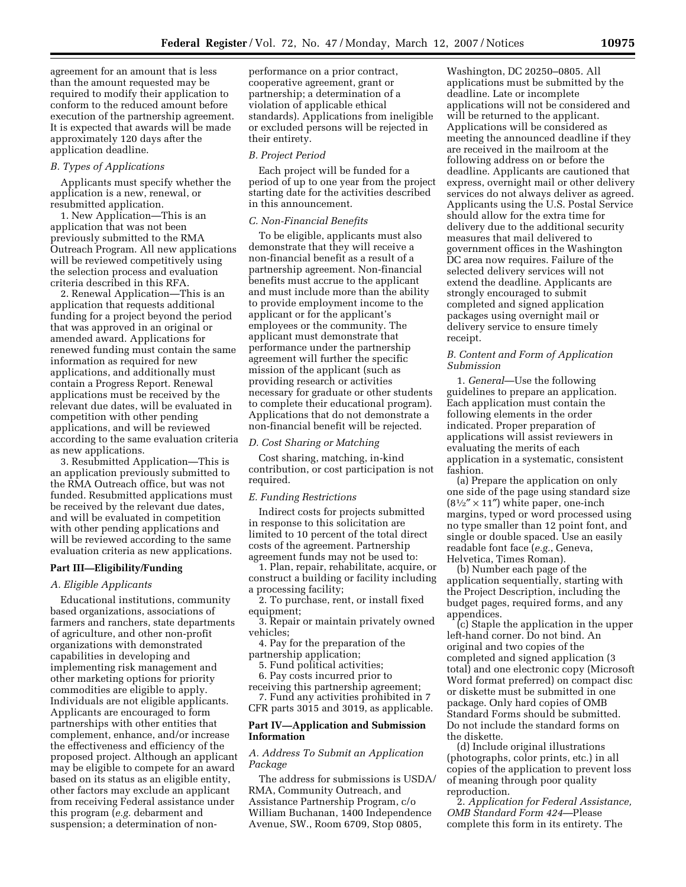agreement for an amount that is less than the amount requested may be required to modify their application to conform to the reduced amount before execution of the partnership agreement. It is expected that awards will be made approximately 120 days after the application deadline.

### *B. Types of Applications*

Applicants must specify whether the application is a new, renewal, or resubmitted application.

1. New Application—This is an application that was not been previously submitted to the RMA Outreach Program. All new applications will be reviewed competitively using the selection process and evaluation criteria described in this RFA.

2. Renewal Application—This is an application that requests additional funding for a project beyond the period that was approved in an original or amended award. Applications for renewed funding must contain the same information as required for new applications, and additionally must contain a Progress Report. Renewal applications must be received by the relevant due dates, will be evaluated in competition with other pending applications, and will be reviewed according to the same evaluation criteria as new applications.

3. Resubmitted Application—This is an application previously submitted to the RMA Outreach office, but was not funded. Resubmitted applications must be received by the relevant due dates, and will be evaluated in competition with other pending applications and will be reviewed according to the same evaluation criteria as new applications.

### **Part III—Eligibility/Funding**

### *A. Eligible Applicants*

Educational institutions, community based organizations, associations of farmers and ranchers, state departments of agriculture, and other non-profit organizations with demonstrated capabilities in developing and implementing risk management and other marketing options for priority commodities are eligible to apply. Individuals are not eligible applicants. Applicants are encouraged to form partnerships with other entities that complement, enhance, and/or increase the effectiveness and efficiency of the proposed project. Although an applicant may be eligible to compete for an award based on its status as an eligible entity, other factors may exclude an applicant from receiving Federal assistance under this program (*e.g.* debarment and suspension; a determination of nonperformance on a prior contract, cooperative agreement, grant or partnership; a determination of a violation of applicable ethical standards). Applications from ineligible or excluded persons will be rejected in their entirety.

#### *B. Project Period*

Each project will be funded for a period of up to one year from the project starting date for the activities described in this announcement.

### *C. Non-Financial Benefits*

To be eligible, applicants must also demonstrate that they will receive a non-financial benefit as a result of a partnership agreement. Non-financial benefits must accrue to the applicant and must include more than the ability to provide employment income to the applicant or for the applicant's employees or the community. The applicant must demonstrate that performance under the partnership agreement will further the specific mission of the applicant (such as providing research or activities necessary for graduate or other students to complete their educational program). Applications that do not demonstrate a non-financial benefit will be rejected.

# *D. Cost Sharing or Matching*

Cost sharing, matching, in-kind contribution, or cost participation is not required.

### *E. Funding Restrictions*

Indirect costs for projects submitted in response to this solicitation are limited to 10 percent of the total direct costs of the agreement. Partnership agreement funds may not be used to:

1. Plan, repair, rehabilitate, acquire, or construct a building or facility including a processing facility;

2. To purchase, rent, or install fixed equipment;

3. Repair or maintain privately owned vehicles;

4. Pay for the preparation of the partnership application;

5. Fund political activities;

6. Pay costs incurred prior to

receiving this partnership agreement; 7. Fund any activities prohibited in 7

CFR parts 3015 and 3019, as applicable.

# **Part IV—Application and Submission Information**

### *A. Address To Submit an Application Package*

The address for submissions is USDA/ RMA, Community Outreach, and Assistance Partnership Program, c/o William Buchanan, 1400 Independence Avenue, SW., Room 6709, Stop 0805,

Washington, DC 20250–0805. All applications must be submitted by the deadline. Late or incomplete applications will not be considered and will be returned to the applicant. Applications will be considered as meeting the announced deadline if they are received in the mailroom at the following address on or before the deadline. Applicants are cautioned that express, overnight mail or other delivery services do not always deliver as agreed. Applicants using the U.S. Postal Service should allow for the extra time for delivery due to the additional security measures that mail delivered to government offices in the Washington DC area now requires. Failure of the selected delivery services will not extend the deadline. Applicants are strongly encouraged to submit completed and signed application packages using overnight mail or delivery service to ensure timely receipt.

# *B. Content and Form of Application Submission*

1. *General*—Use the following guidelines to prepare an application. Each application must contain the following elements in the order indicated. Proper preparation of applications will assist reviewers in evaluating the merits of each application in a systematic, consistent fashion.

(a) Prepare the application on only one side of the page using standard size  $(8<sup>1</sup>/<sub>2</sub>'' \times 11'')$  white paper, one-inch margins, typed or word processed using no type smaller than 12 point font, and single or double spaced. Use an easily readable font face (*e.g.*, Geneva, Helvetica, Times Roman).

(b) Number each page of the application sequentially, starting with the Project Description, including the budget pages, required forms, and any appendices.

(c) Staple the application in the upper left-hand corner. Do not bind. An original and two copies of the completed and signed application (3 total) and one electronic copy (Microsoft Word format preferred) on compact disc or diskette must be submitted in one package. Only hard copies of OMB Standard Forms should be submitted. Do not include the standard forms on the diskette.

(d) Include original illustrations (photographs, color prints, etc.) in all copies of the application to prevent loss of meaning through poor quality reproduction.

2. *Application for Federal Assistance, OMB Standard Form 424*—Please complete this form in its entirety. The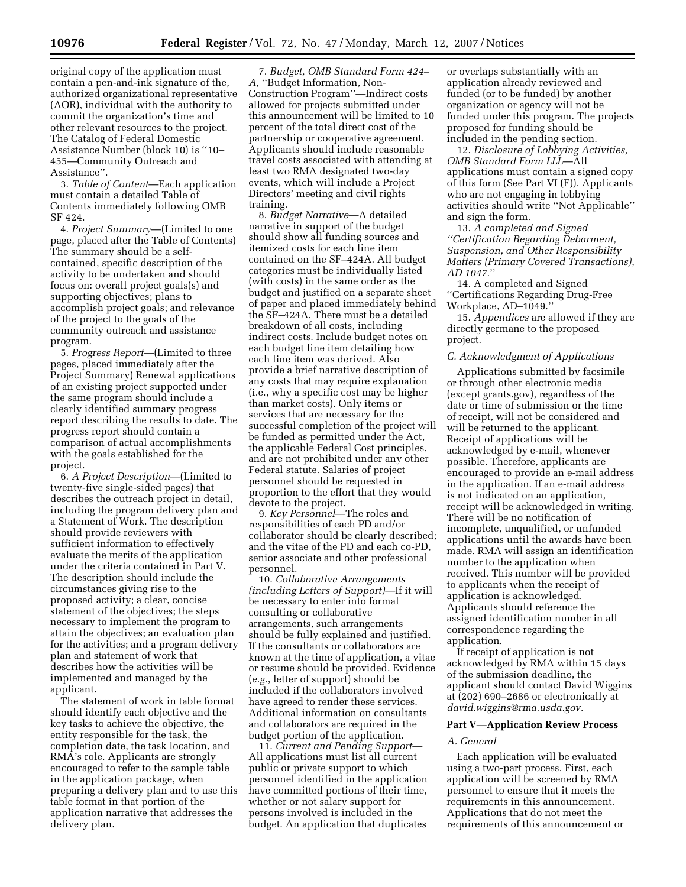original copy of the application must contain a pen-and-ink signature of the, authorized organizational representative (AOR), individual with the authority to commit the organization's time and other relevant resources to the project. The Catalog of Federal Domestic Assistance Number (block 10) is ''10– 455—Community Outreach and Assistance''.

3. *Table of Content*—Each application must contain a detailed Table of Contents immediately following OMB SF 424.

4. *Project Summary*—(Limited to one page, placed after the Table of Contents) The summary should be a selfcontained, specific description of the activity to be undertaken and should focus on: overall project goals(s) and supporting objectives; plans to accomplish project goals; and relevance of the project to the goals of the community outreach and assistance program.

5. *Progress Report*—(Limited to three pages, placed immediately after the Project Summary) Renewal applications of an existing project supported under the same program should include a clearly identified summary progress report describing the results to date. The progress report should contain a comparison of actual accomplishments with the goals established for the project.

6. *A Project Description*—(Limited to twenty-five single-sided pages) that describes the outreach project in detail, including the program delivery plan and a Statement of Work. The description should provide reviewers with sufficient information to effectively evaluate the merits of the application under the criteria contained in Part V. The description should include the circumstances giving rise to the proposed activity; a clear, concise statement of the objectives; the steps necessary to implement the program to attain the objectives; an evaluation plan for the activities; and a program delivery plan and statement of work that describes how the activities will be implemented and managed by the applicant.

The statement of work in table format should identify each objective and the key tasks to achieve the objective, the entity responsible for the task, the completion date, the task location, and RMA's role. Applicants are strongly encouraged to refer to the sample table in the application package, when preparing a delivery plan and to use this table format in that portion of the application narrative that addresses the delivery plan.

7. *Budget, OMB Standard Form 424– A,* ''Budget Information, Non-Construction Program''—Indirect costs allowed for projects submitted under this announcement will be limited to 10 percent of the total direct cost of the partnership or cooperative agreement. Applicants should include reasonable travel costs associated with attending at least two RMA designated two-day events, which will include a Project Directors' meeting and civil rights training.

8. *Budget Narrative*—A detailed narrative in support of the budget should show all funding sources and itemized costs for each line item contained on the SF–424A. All budget categories must be individually listed (with costs) in the same order as the budget and justified on a separate sheet of paper and placed immediately behind the SF–424A. There must be a detailed breakdown of all costs, including indirect costs. Include budget notes on each budget line item detailing how each line item was derived. Also provide a brief narrative description of any costs that may require explanation (i.e., why a specific cost may be higher than market costs). Only items or services that are necessary for the successful completion of the project will be funded as permitted under the Act, the applicable Federal Cost principles, and are not prohibited under any other Federal statute. Salaries of project personnel should be requested in proportion to the effort that they would devote to the project.

9. *Key Personnel*—The roles and responsibilities of each PD and/or collaborator should be clearly described; and the vitae of the PD and each co-PD, senior associate and other professional personnel.

10. *Collaborative Arrangements (including Letters of Support)*—If it will be necessary to enter into formal consulting or collaborative arrangements, such arrangements should be fully explained and justified. If the consultants or collaborators are known at the time of application, a vitae or resume should be provided. Evidence (*e.g.*, letter of support) should be included if the collaborators involved have agreed to render these services. Additional information on consultants and collaborators are required in the budget portion of the application.

11. *Current and Pending Support*— All applications must list all current public or private support to which personnel identified in the application have committed portions of their time, whether or not salary support for persons involved is included in the budget. An application that duplicates

or overlaps substantially with an application already reviewed and funded (or to be funded) by another organization or agency will not be funded under this program. The projects proposed for funding should be included in the pending section.

12. *Disclosure of Lobbying Activities, OMB Standard Form LLL*—All applications must contain a signed copy of this form (See Part VI (F)). Applicants who are not engaging in lobbying activities should write ''Not Applicable'' and sign the form.

13. *A completed and Signed ''Certification Regarding Debarment, Suspension, and Other Responsibility Matters (Primary Covered Transactions), AD 1047.*''

14. A completed and Signed ''Certifications Regarding Drug-Free Workplace, AD–1049.''

15. *Appendices* are allowed if they are directly germane to the proposed project.

#### *C. Acknowledgment of Applications*

Applications submitted by facsimile or through other electronic media (except grants.gov), regardless of the date or time of submission or the time of receipt, will not be considered and will be returned to the applicant. Receipt of applications will be acknowledged by e-mail, whenever possible. Therefore, applicants are encouraged to provide an e-mail address in the application. If an e-mail address is not indicated on an application, receipt will be acknowledged in writing. There will be no notification of incomplete, unqualified, or unfunded applications until the awards have been made. RMA will assign an identification number to the application when received. This number will be provided to applicants when the receipt of application is acknowledged. Applicants should reference the assigned identification number in all correspondence regarding the application.

If receipt of application is not acknowledged by RMA within 15 days of the submission deadline, the applicant should contact David Wiggins at (202) 690–2686 or electronically at *david.wiggins@rma.usda.gov.* 

### **Part V—Application Review Process**

#### *A. General*

Each application will be evaluated using a two-part process. First, each application will be screened by RMA personnel to ensure that it meets the requirements in this announcement. Applications that do not meet the requirements of this announcement or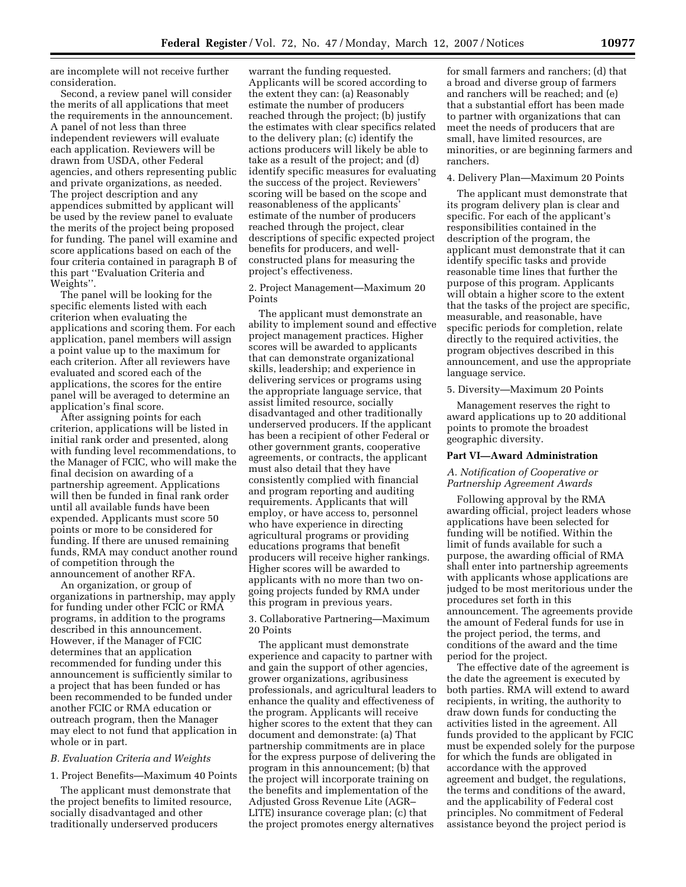are incomplete will not receive further consideration.

Second, a review panel will consider the merits of all applications that meet the requirements in the announcement. A panel of not less than three independent reviewers will evaluate each application. Reviewers will be drawn from USDA, other Federal agencies, and others representing public and private organizations, as needed. The project description and any appendices submitted by applicant will be used by the review panel to evaluate the merits of the project being proposed for funding. The panel will examine and score applications based on each of the four criteria contained in paragraph B of this part ''Evaluation Criteria and Weights''.

The panel will be looking for the specific elements listed with each criterion when evaluating the applications and scoring them. For each application, panel members will assign a point value up to the maximum for each criterion. After all reviewers have evaluated and scored each of the applications, the scores for the entire panel will be averaged to determine an application's final score.

After assigning points for each criterion, applications will be listed in initial rank order and presented, along with funding level recommendations, to the Manager of FCIC, who will make the final decision on awarding of a partnership agreement. Applications will then be funded in final rank order until all available funds have been expended. Applicants must score 50 points or more to be considered for funding. If there are unused remaining funds, RMA may conduct another round of competition through the announcement of another RFA.

An organization, or group of organizations in partnership, may apply for funding under other FCIC or RMA programs, in addition to the programs described in this announcement. However, if the Manager of FCIC determines that an application recommended for funding under this announcement is sufficiently similar to a project that has been funded or has been recommended to be funded under another FCIC or RMA education or outreach program, then the Manager may elect to not fund that application in whole or in part.

#### *B. Evaluation Criteria and Weights*

1. Project Benefits—Maximum 40 Points

The applicant must demonstrate that the project benefits to limited resource, socially disadvantaged and other traditionally underserved producers

warrant the funding requested. Applicants will be scored according to the extent they can: (a) Reasonably estimate the number of producers reached through the project; (b) justify the estimates with clear specifics related to the delivery plan; (c) identify the actions producers will likely be able to take as a result of the project; and (d) identify specific measures for evaluating the success of the project. Reviewers' scoring will be based on the scope and reasonableness of the applicants' estimate of the number of producers reached through the project, clear descriptions of specific expected project benefits for producers, and wellconstructed plans for measuring the project's effectiveness.

2. Project Management—Maximum 20 Points

The applicant must demonstrate an ability to implement sound and effective project management practices. Higher scores will be awarded to applicants that can demonstrate organizational skills, leadership; and experience in delivering services or programs using the appropriate language service, that assist limited resource, socially disadvantaged and other traditionally underserved producers. If the applicant has been a recipient of other Federal or other government grants, cooperative agreements, or contracts, the applicant must also detail that they have consistently complied with financial and program reporting and auditing requirements. Applicants that will employ, or have access to, personnel who have experience in directing agricultural programs or providing educations programs that benefit producers will receive higher rankings. Higher scores will be awarded to applicants with no more than two ongoing projects funded by RMA under this program in previous years.

3. Collaborative Partnering—Maximum 20 Points

The applicant must demonstrate experience and capacity to partner with and gain the support of other agencies, grower organizations, agribusiness professionals, and agricultural leaders to enhance the quality and effectiveness of the program. Applicants will receive higher scores to the extent that they can document and demonstrate: (a) That partnership commitments are in place for the express purpose of delivering the program in this announcement; (b) that the project will incorporate training on the benefits and implementation of the Adjusted Gross Revenue Lite (AGR– LITE) insurance coverage plan; (c) that the project promotes energy alternatives

for small farmers and ranchers; (d) that a broad and diverse group of farmers and ranchers will be reached; and (e) that a substantial effort has been made to partner with organizations that can meet the needs of producers that are small, have limited resources, are minorities, or are beginning farmers and ranchers.

### 4. Delivery Plan—Maximum 20 Points

The applicant must demonstrate that its program delivery plan is clear and specific. For each of the applicant's responsibilities contained in the description of the program, the applicant must demonstrate that it can identify specific tasks and provide reasonable time lines that further the purpose of this program. Applicants will obtain a higher score to the extent that the tasks of the project are specific, measurable, and reasonable, have specific periods for completion, relate directly to the required activities, the program objectives described in this announcement, and use the appropriate language service.

5. Diversity—Maximum 20 Points

Management reserves the right to award applications up to 20 additional points to promote the broadest geographic diversity.

### **Part VI—Award Administration**

## *A. Notification of Cooperative or Partnership Agreement Awards*

Following approval by the RMA awarding official, project leaders whose applications have been selected for funding will be notified. Within the limit of funds available for such a purpose, the awarding official of RMA shall enter into partnership agreements with applicants whose applications are judged to be most meritorious under the procedures set forth in this announcement. The agreements provide the amount of Federal funds for use in the project period, the terms, and conditions of the award and the time period for the project.

The effective date of the agreement is the date the agreement is executed by both parties. RMA will extend to award recipients, in writing, the authority to draw down funds for conducting the activities listed in the agreement. All funds provided to the applicant by FCIC must be expended solely for the purpose for which the funds are obligated in accordance with the approved agreement and budget, the regulations, the terms and conditions of the award, and the applicability of Federal cost principles. No commitment of Federal assistance beyond the project period is